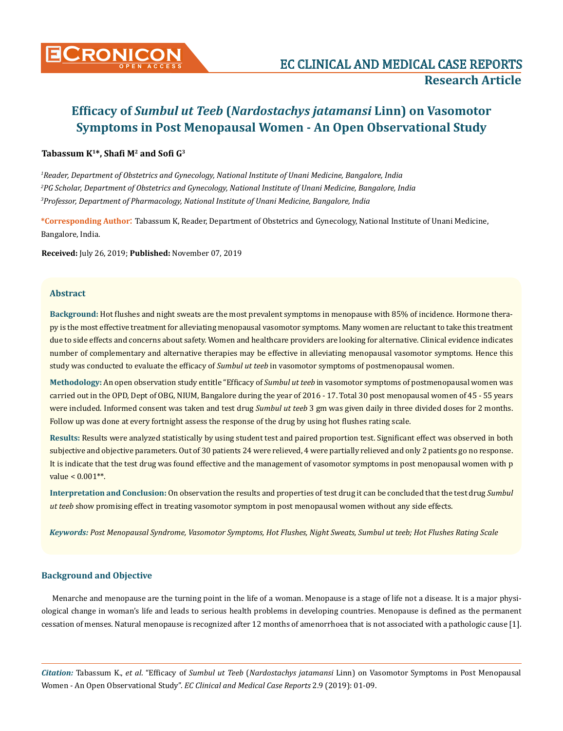

# **Efficacy of** *Sumbul ut Teeb* **(***Nardostachys jatamansi* **Linn) on Vasomotor Symptoms in Post Menopausal Women - An Open Observational Study**

# **Tabassum K<sup>1</sup>\*, Shafi M<sup>2</sup> and Sofi G<sup>3</sup>**

*1 Reader, Department of Obstetrics and Gynecology, National Institute of Unani Medicine, Bangalore, India 2 PG Scholar, Department of Obstetrics and Gynecology, National Institute of Unani Medicine, Bangalore, India 3 Professor, Department of Pharmacology, National Institute of Unani Medicine, Bangalore, India*

**\*Corresponding Author**: Tabassum K, Reader, Department of Obstetrics and Gynecology, National Institute of Unani Medicine, Bangalore, India.

**Received:** July 26, 2019; **Published:** November 07, 2019

## **Abstract**

**Background:** Hot flushes and night sweats are the most prevalent symptoms in menopause with 85% of incidence. Hormone therapy is the most effective treatment for alleviating menopausal vasomotor symptoms. Many women are reluctant to take this treatment due to side effects and concerns about safety. Women and healthcare providers are looking for alternative. Clinical evidence indicates number of complementary and alternative therapies may be effective in alleviating menopausal vasomotor symptoms. Hence this study was conducted to evaluate the efficacy of *Sumbul ut teeb* in vasomotor symptoms of postmenopausal women.

**Methodology:** An open observation study entitle "Efficacy of *Sumbul ut teeb* in vasomotor symptoms of postmenopausal women was carried out in the OPD, Dept of OBG, NIUM, Bangalore during the year of 2016 - 17. Total 30 post menopausal women of 45 - 55 years were included. Informed consent was taken and test drug *Sumbul ut teeb* 3 gm was given daily in three divided doses for 2 months. Follow up was done at every fortnight assess the response of the drug by using hot flushes rating scale.

**Results:** Results were analyzed statistically by using student test and paired proportion test. Significant effect was observed in both subjective and objective parameters. Out of 30 patients 24 were relieved, 4 were partially relieved and only 2 patients go no response. It is indicate that the test drug was found effective and the management of vasomotor symptoms in post menopausal women with p value < 0.001\*\*.

**Interpretation and Conclusion:** On observation the results and properties of test drug it can be concluded that the test drug *Sumbul ut teeb* show promising effect in treating vasomotor symptom in post menopausal women without any side effects.

*Keywords: Post Menopausal Syndrome, Vasomotor Symptoms, Hot Flushes, Night Sweats, Sumbul ut teeb; Hot Flushes Rating Scale*

## **Background and Objective**

Menarche and menopause are the turning point in the life of a woman. Menopause is a stage of life not a disease. It is a major physiological change in woman's life and leads to serious health problems in developing countries. Menopause is defined as the permanent cessation of menses. Natural menopause is recognized after 12 months of amenorrhoea that is not associated with a pathologic cause [1].

*Citation:* Tabassum K., *et al*. "Efficacy of *Sumbul ut Teeb* (*Nardostachys jatamansi* Linn) on Vasomotor Symptoms in Post Menopausal Women - An Open Observational Study". *EC Clinical and Medical Case Reports* 2.9 (2019): 01-09.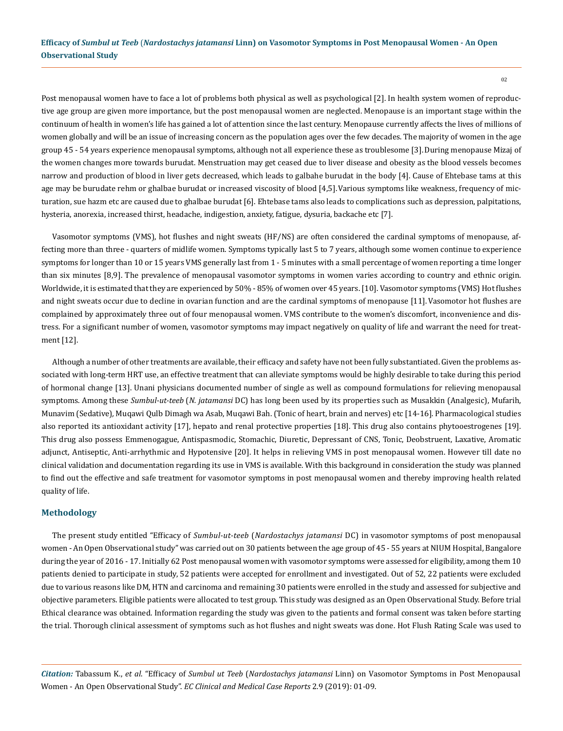Post menopausal women have to face a lot of problems both physical as well as psychological [2]. In health system women of reproductive age group are given more importance, but the post menopausal women are neglected. Menopause is an important stage within the continuum of health in women's life has gained a lot of attention since the last century. Menopause currently affects the lives of millions of women globally and will be an issue of increasing concern as the population ages over the few decades. The majority of women in the age group 45 - 54 years experience menopausal symptoms, although not all experience these as troublesome [3].During menopause Mizaj of the women changes more towards burudat. Menstruation may get ceased due to liver disease and obesity as the blood vessels becomes narrow and production of blood in liver gets decreased, which leads to galbahe burudat in the body [4]. Cause of Ehtebase tams at this age may be burudate rehm or ghalbae burudat or increased viscosity of blood [4,5]. Various symptoms like weakness, frequency of micturation, sue hazm etc are caused due to ghalbae burudat [6]. Ehtebase tams also leads to complications such as depression, palpitations, hysteria, anorexia, increased thirst, headache, indigestion, anxiety, fatigue, dysuria, backache etc [7].

Vasomotor symptoms (VMS), hot flushes and night sweats (HF/NS) are often considered the cardinal symptoms of menopause, affecting more than three - quarters of midlife women. Symptoms typically last 5 to 7 years, although some women continue to experience symptoms for longer than 10 or 15 years VMS generally last from 1 - 5 minutes with a small percentage of women reporting a time longer than six minutes [8,9]. The prevalence of menopausal vasomotor symptoms in women varies according to country and ethnic origin. Worldwide, it is estimated that they are experienced by 50% - 85% of women over 45 years. [10]. Vasomotor symptoms (VMS) Hot flushes and night sweats occur due to decline in ovarian function and are the cardinal symptoms of menopause [11]. Vasomotor hot flushes are complained by approximately three out of four menopausal women. VMS contribute to the women's discomfort, inconvenience and distress. For a significant number of women, vasomotor symptoms may impact negatively on quality of life and warrant the need for treatment [12].

Although a number of other treatments are available, their efficacy and safety have not been fully substantiated. Given the problems associated with long-term HRT use, an effective treatment that can alleviate symptoms would be highly desirable to take during this period of hormonal change [13]. Unani physicians documented number of single as well as compound formulations for relieving menopausal symptoms. Among these *Sumbul-ut-teeb* (*N. jatamansi* DC) has long been used by its properties such as Musakkin (Analgesic), Mufarih, Munavim (Sedative)*,* Muqawi Qulb Dimagh wa Asab, Muqawi Bah. (Tonic of heart, brain and nerves) etc [14-16]. Pharmacological studies also reported its antioxidant activity [17], hepato and renal protective properties [18]. This drug also contains phytooestrogenes [19]. This drug also possess Emmenogague, Antispasmodic, Stomachic, Diuretic, Depressant of CNS, Tonic, Deobstruent, Laxative, Aromatic adjunct, Antiseptic, Anti-arrhythmic and Hypotensive [20]. It helps in relieving VMS in post menopausal women. However till date no clinical validation and documentation regarding its use in VMS is available. With this background in consideration the study was planned to find out the effective and safe treatment for vasomotor symptoms in post menopausal women and thereby improving health related quality of life.

#### **Methodology**

The present study entitled "Efficacy of *Sumbul-ut-teeb* (*Nardostachys jatamansi* DC) in vasomotor symptoms of post menopausal women - An Open Observational study" was carried out on 30 patients between the age group of 45 - 55 years at NIUM Hospital, Bangalore during the year of 2016 - 17. Initially 62 Post menopausal women with vasomotor symptoms were assessed for eligibility, among them 10 patients denied to participate in study, 52 patients were accepted for enrollment and investigated. Out of 52, 22 patients were excluded due to various reasons like DM, HTN and carcinoma and remaining 30 patients were enrolled in the study and assessed for subjective and objective parameters. Eligible patients were allocated to test group. This study was designed as an Open Observational Study. Before trial Ethical clearance was obtained. Information regarding the study was given to the patients and formal consent was taken before starting the trial. Thorough clinical assessment of symptoms such as hot flushes and night sweats was done. Hot Flush Rating Scale was used to

*Citation:* Tabassum K., *et al*. "Efficacy of *Sumbul ut Teeb* (*Nardostachys jatamansi* Linn) on Vasomotor Symptoms in Post Menopausal Women - An Open Observational Study". *EC Clinical and Medical Case Reports* 2.9 (2019): 01-09.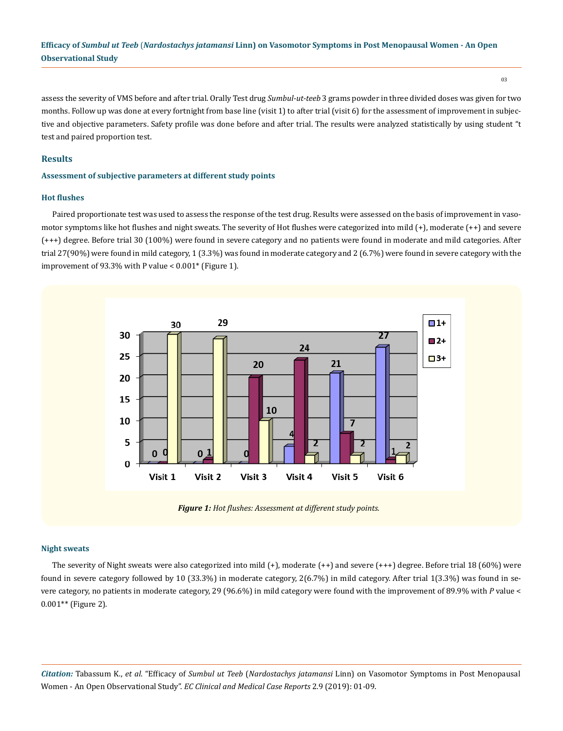03

assess the severity of VMS before and after trial. Orally Test drug *Sumbul-ut-teeb* 3 grams powder in three divided doses was given for two months. Follow up was done at every fortnight from base line (visit 1) to after trial (visit 6) for the assessment of improvement in subjective and objective parameters. Safety profile was done before and after trial. The results were analyzed statistically by using student "t test and paired proportion test.

## **Results**

## **Assessment of subjective parameters at different study points**

#### **Hot flushes**

Paired proportionate test was used to assess the response of the test drug. Results were assessed on the basis of improvement in vasomotor symptoms like hot flushes and night sweats. The severity of Hot flushes were categorized into mild (+), moderate (++) and severe (+++) degree. Before trial 30 (100%) were found in severe category and no patients were found in moderate and mild categories. After trial 27(90%) were found in mild category, 1 (3.3%) was found in moderate category and 2 (6.7%) were found in severe category with the improvement of 93.3% with P value <  $0.001$ <sup>\*</sup> (Figure 1).



*Figure 1: Hot flushes: Assessment at different study points.*

#### **Night sweats**

The severity of Night sweats were also categorized into mild (+), moderate (++) and severe (+++) degree. Before trial 18 (60%) were found in severe category followed by 10 (33.3%) in moderate category, 2(6.7%) in mild category. After trial 1(3.3%) was found in severe category, no patients in moderate category, 29 (96.6%) in mild category were found with the improvement of 89.9% with *P* value < 0.001\*\* (Figure 2).

*Citation:* Tabassum K., *et al*. "Efficacy of *Sumbul ut Teeb* (*Nardostachys jatamansi* Linn) on Vasomotor Symptoms in Post Menopausal Women - An Open Observational Study". *EC Clinical and Medical Case Reports* 2.9 (2019): 01-09.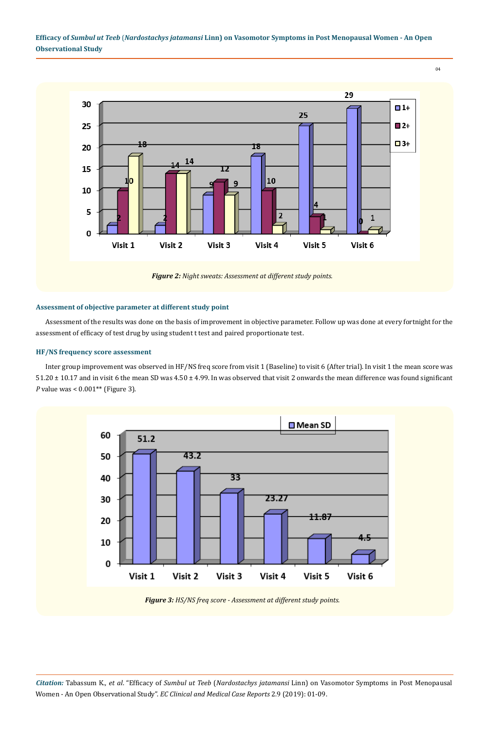

## **Assessment of objective parameter at different study point**

Assessment of the results was done on the basis of improvement in objective parameter. Follow up was done at every fortnight for the assessment of efficacy of test drug by using student t test and paired proportionate test.

## **HF/NS frequency score assessment**

Inter group improvement was observed in HF/NS freq score from visit 1 (Baseline) to visit 6 (After trial). In visit 1 the mean score was 51.20 ± 10.17 and in visit 6 the mean SD was 4.50 ± 4.99. In was observed that visit 2 onwards the mean difference was found significant *P* value was < 0.001\*\* (Figure 3).



*Figure 3: HS/NS freq score - Assessment at different study points.*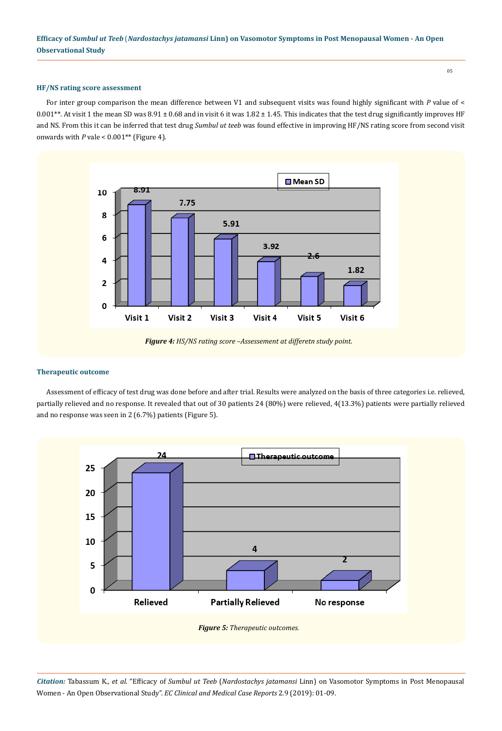#### **HF/NS rating score assessment**

For inter group comparison the mean difference between V1 and subsequent visits was found highly significant with P value of < 0.001\*\*. At visit 1 the mean SD was  $8.91 \pm 0.68$  and in visit 6 it was  $1.82 \pm 1.45$ . This indicates that the test drug significantly improves HF and NS. From this it can be inferred that test drug *Sumbul ut teeb* was found effective in improving HF/NS rating score from second visit onwards with  $P$  vale <  $0.001**$  (Figure 4).



*Figure 4: HS/NS rating score –Assessement at differetn study point.*

#### **Therapeutic outcome**

Assessment of efficacy of test drug was done before and after trial. Results were analyzed on the basis of three categories i.e. relieved, partially relieved and no response. It revealed that out of 30 patients 24 (80%) were relieved, 4(13.3%) patients were partially relieved and no response was seen in 2 (6.7%) patients (Figure 5).



*Citation:* Tabassum K., *et al*. "Efficacy of *Sumbul ut Teeb* (*Nardostachys jatamansi* Linn) on Vasomotor Symptoms in Post Menopausal Women - An Open Observational Study". *EC Clinical and Medical Case Reports* 2.9 (2019): 01-09.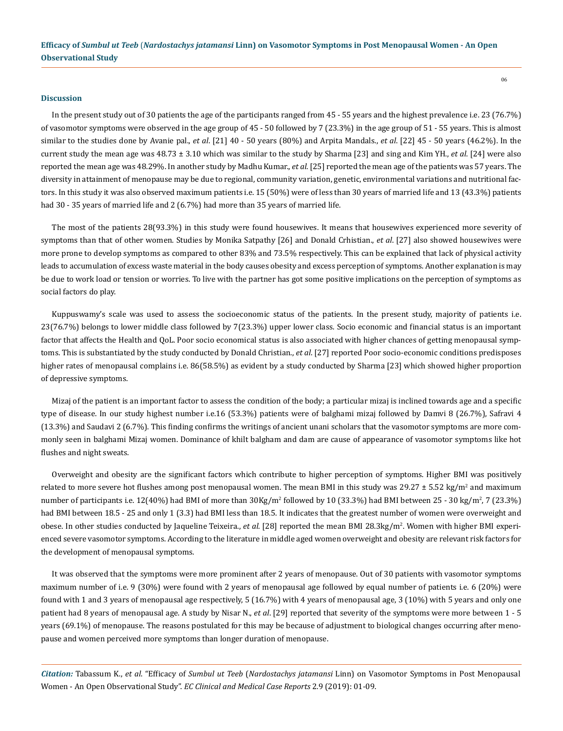#### **Discussion**

In the present study out of 30 patients the age of the participants ranged from 45 - 55 years and the highest prevalence i.e. 23 (76.7%) of vasomotor symptoms were observed in the age group of 45 - 50 followed by 7 (23.3%) in the age group of 51 - 55 years. This is almost similar to the studies done by Avanie pal., *et al*. [21] 40 - 50 years (80%) and Arpita Mandals., *et al*. [22] 45 - 50 years (46.2%). In the current study the mean age was 48.73 ± 3.10 which was similar to the study by Sharma [23] and sing and Kim YH., *et al*. [24] were also reported the mean age was 48.29%. In another study by Madhu Kumar., *et al*. [25] reported the mean age of the patients was 57 years. The diversity in attainment of menopause may be due to regional, community variation, genetic, environmental variations and nutritional factors. In this study it was also observed maximum patients i.e. 15 (50%) were of less than 30 years of married life and 13 (43.3%) patients had 30 - 35 years of married life and 2 (6.7%) had more than 35 years of married life.

The most of the patients 28(93.3%) in this study were found housewives. It means that housewives experienced more severity of symptoms than that of other women. Studies by Monika Satpathy [26] and Donald Crhistian., *et al*. [27] also showed housewives were more prone to develop symptoms as compared to other 83% and 73.5% respectively. This can be explained that lack of physical activity leads to accumulation of excess waste material in the body causes obesity and excess perception of symptoms. Another explanation is may be due to work load or tension or worries. To live with the partner has got some positive implications on the perception of symptoms as social factors do play.

Kuppuswamy's scale was used to assess the socioeconomic status of the patients. In the present study, majority of patients i.e. 23(76.7%) belongs to lower middle class followed by 7(23.3%) upper lower class. Socio economic and financial status is an important factor that affects the Health and QoL. Poor socio economical status is also associated with higher chances of getting menopausal symptoms. This is substantiated by the study conducted by Donald Christian., *et al*. [27] reported Poor socio-economic conditions predisposes higher rates of menopausal complains i.e. 86(58.5%) as evident by a study conducted by Sharma [23] which showed higher proportion of depressive symptoms.

Mizaj of the patient is an important factor to assess the condition of the body; a particular mizaj is inclined towards age and a specific type of disease. In our study highest number i.e.16 (53.3%) patients were of balghami mizaj followed by Damvi 8 (26.7%), Safravi 4 (13.3%) and Saudavi 2 (6.7%). This finding confirms the writings of ancient unani scholars that the vasomotor symptoms are more commonly seen in balghami Mizaj women. Dominance of khilt balgham and dam are cause of appearance of vasomotor symptoms like hot flushes and night sweats.

Overweight and obesity are the significant factors which contribute to higher perception of symptoms. Higher BMI was positively related to more severe hot flushes among post menopausal women. The mean BMI in this study was 29.27  $\pm$  5.52 kg/m<sup>2</sup> and maximum number of participants i.e. 12(40%) had BMI of more than  $30$ Kg/m<sup>2</sup> followed by 10 (33.3%) had BMI between 25 - 30 kg/m<sup>2</sup>, 7 (23.3%) had BMI between 18.5 - 25 and only 1 (3.3) had BMI less than 18.5. It indicates that the greatest number of women were overweight and obese. In other studies conducted by Jaqueline Teixeira., *et al*. [28] reported the mean BMI 28.3kg/m<sup>2</sup>. Women with higher BMI experienced severe vasomotor symptoms. According to the literature in middle aged women overweight and obesity are relevant risk factors for the development of menopausal symptoms.

It was observed that the symptoms were more prominent after 2 years of menopause. Out of 30 patients with vasomotor symptoms maximum number of i.e. 9 (30%) were found with 2 years of menopausal age followed by equal number of patients i.e. 6 (20%) were found with 1 and 3 years of menopausal age respectively, 5 (16.7%) with 4 years of menopausal age, 3 (10%) with 5 years and only one patient had 8 years of menopausal age. A study by Nisar N., *et al*. [29] reported that severity of the symptoms were more between 1 - 5 years (69.1%) of menopause. The reasons postulated for this may be because of adjustment to biological changes occurring after menopause and women perceived more symptoms than longer duration of menopause.

*Citation:* Tabassum K., *et al*. "Efficacy of *Sumbul ut Teeb* (*Nardostachys jatamansi* Linn) on Vasomotor Symptoms in Post Menopausal Women - An Open Observational Study". *EC Clinical and Medical Case Reports* 2.9 (2019): 01-09.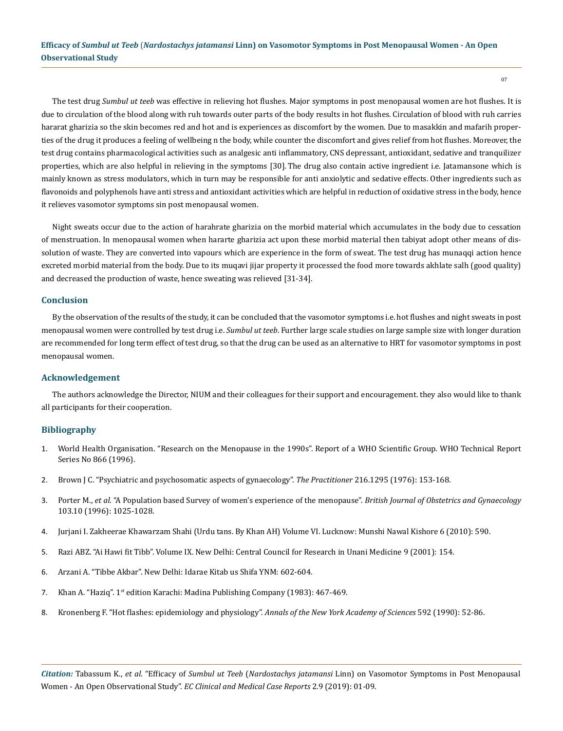The test drug *Sumbul ut teeb* was effective in relieving hot flushes. Major symptoms in post menopausal women are hot flushes. It is due to circulation of the blood along with ruh towards outer parts of the body results in hot flushes. Circulation of blood with ruh carries hararat gharizia so the skin becomes red and hot and is experiences as discomfort by the women. Due to masakkin and mafarih properties of the drug it produces a feeling of wellbeing n the body, while counter the discomfort and gives relief from hot flushes. Moreover, the test drug contains pharmacological activities such as analgesic anti inflammatory, CNS depressant, antioxidant, sedative and tranquilizer properties, which are also helpful in relieving in the symptoms [30]. The drug also contain active ingredient i.e. Jatamansone which is mainly known as stress modulators, which in turn may be responsible for anti anxiolytic and sedative effects. Other ingredients such as flavonoids and polyphenols have anti stress and antioxidant activities which are helpful in reduction of oxidative stress in the body, hence it relieves vasomotor symptoms sin post menopausal women.

Night sweats occur due to the action of harahrate gharizia on the morbid material which accumulates in the body due to cessation of menstruation. In menopausal women when hararte gharizia act upon these morbid material then tabiyat adopt other means of dissolution of waste. They are converted into vapours which are experience in the form of sweat. The test drug has munaqqi action hence excreted morbid material from the body. Due to its muqavi jijar property it processed the food more towards akhlate salh (good quality) and decreased the production of waste, hence sweating was relieved [31-34].

## **Conclusion**

By the observation of the results of the study, it can be concluded that the vasomotor symptoms i.e. hot flushes and night sweats in post menopausal women were controlled by test drug i.e. *Sumbul ut teeb*. Further large scale studies on large sample size with longer duration are recommended for long term effect of test drug, so that the drug can be used as an alternative to HRT for vasomotor symptoms in post menopausal women.

#### **Acknowledgement**

The authors acknowledge the Director, NIUM and their colleagues for their support and encouragement. they also would like to thank all participants for their cooperation.

#### **Bibliography**

- 1. World Health Organisation. "Research on the Menopause in the 1990s". Report of a WHO Scientific Group. WHO Technical Report Series No 866 (1996).
- 2. [Brown J C. "Psychiatric and psychosomatic aspects of gynaecology".](https://www.ncbi.nlm.nih.gov/pubmed/986047) *The Practitioner* 216.1295 (1976): 153-168.
- 3. Porter M., *et al*[. "A Population based Survey of women's experience of the menopause".](https://www.ncbi.nlm.nih.gov/pubmed/8863703) *British Journal of Obstetrics and Gynaecology* [103.10 \(1996\): 1025-1028.](https://www.ncbi.nlm.nih.gov/pubmed/8863703)
- 4. Jurjani I. Zakheerae Khawarzam Shahi (Urdu tans. By Khan AH) Volume VI. Lucknow: Munshi Nawal Kishore 6 (2010): 590.
- 5. Razi ABZ. "Ai Hawi fit Tibb". Volume IX. New Delhi: Central Council for Research in Unani Medicine 9 (2001): 154.
- 6. Arzani A. "Tibbe Akbar". New Delhi: Idarae Kitab us Shifa YNM: 602-604.
- 7. Khan A. "Haziq". 1st edition Karachi: Madina Publishing Company (1983): 467-469.
- 8. [Kronenberg F. "Hot flashes: epidemiology and physiology".](https://www.ncbi.nlm.nih.gov/pubmed/2197954) *Annals of the New York Academy of Sciences* 592 (1990): 52-86.

*Citation:* Tabassum K., *et al*. "Efficacy of *Sumbul ut Teeb* (*Nardostachys jatamansi* Linn) on Vasomotor Symptoms in Post Menopausal Women - An Open Observational Study". *EC Clinical and Medical Case Reports* 2.9 (2019): 01-09.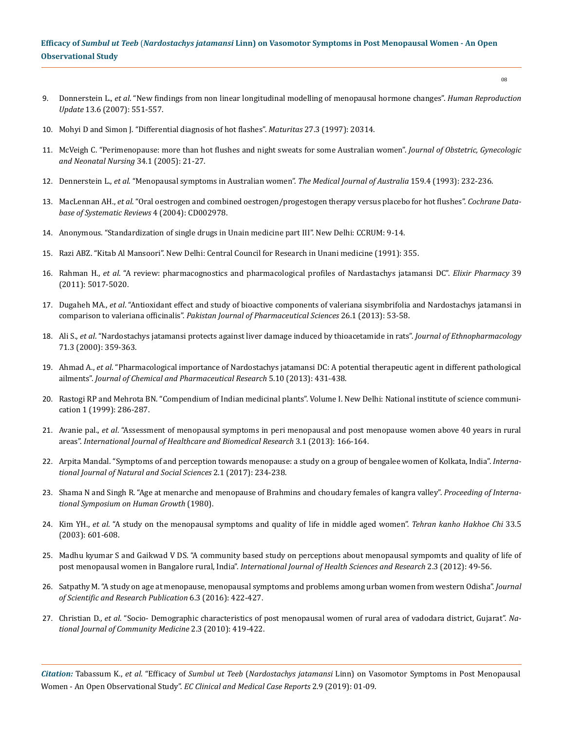- 9. Donnerstein L., *et al*[. "New findings from non linear longitudinal modelling of menopausal hormone changes".](https://www.ncbi.nlm.nih.gov/pubmed/17616552) *Human Reproduction Update* [13.6 \(2007\): 551-557.](https://www.ncbi.nlm.nih.gov/pubmed/17616552)
- 10. [Mohyi D and Simon J. "Differential diagnosis of hot flashes".](https://www.ncbi.nlm.nih.gov/pubmed/9288692) *Maturitas* 27.3 (1997): 20314.
- 11. [McVeigh C. "Perimenopause: more than hot flushes and night sweats for some Australian women".](https://www.ncbi.nlm.nih.gov/pubmed/15673642) *Journal of Obstetric, Gynecologic [and Neonatal Nursing](https://www.ncbi.nlm.nih.gov/pubmed/15673642)* 34.1 (2005): 21-27.
- 12. Dennerstein L., *et al*[. "Menopausal symptoms in Australian women".](https://www.ncbi.nlm.nih.gov/pubmed/8412889) *The Medical Journal of Australia* 159.4 (1993): 232-236.
- 13. MacLennan AH., *et al*[. "Oral oestrogen and combined oestrogen/progestogen therapy versus placebo for hot flushes".](https://www.ncbi.nlm.nih.gov/pubmed/15495039) *Cochrane Data[base of Systematic Reviews](https://www.ncbi.nlm.nih.gov/pubmed/15495039)* 4 (2004): CD002978.
- 14. Anonymous. "Standardization of single drugs in Unain medicine part III". New Delhi: CCRUM: 9-14.
- 15. Razi ABZ. "Kitab Al Mansoori". New Delhi: Central Council for Research in Unani medicine (1991): 355.
- 16. Rahman H., *et al*[. "A review: pharmacognostics and pharmacological profiles of Nardastachys jatamansi DC".](https://www.researchgate.net/publication/216298682_A_review_pharmacognostics_and_pharmacological_profiles_of_Nardastachys_jatamansi_DC) *Elixir Pharmacy* 39 [\(2011\): 5017-5020.](https://www.researchgate.net/publication/216298682_A_review_pharmacognostics_and_pharmacological_profiles_of_Nardastachys_jatamansi_DC)
- 17. Dugaheh MA., *et al*[. "Antioxidant effect and study of bioactive components of valeriana sisymbrifolia and Nardostachys jatamansi in](https://www.ncbi.nlm.nih.gov/pubmed/23261727)  comparison to valeriana officinalis". *[Pakistan Journal of Pharmaceutical Sciences](https://www.ncbi.nlm.nih.gov/pubmed/23261727)* 26.1 (2013): 53-58.
- 18. Ali S., *et al*[. "Nardostachys jatamansi protects against liver damage induced by thioacetamide in rats".](https://www.ncbi.nlm.nih.gov/pubmed/10940571) *Journal of Ethnopharmacology* [71.3 \(2000\): 359-363.](https://www.ncbi.nlm.nih.gov/pubmed/10940571)
- 19. Ahmad A., *et al*[. "Pharmacological importance of Nardostachys jatamansi DC: A potential therapeutic agent in different pathological](https://www.researchgate.net/publication/287397543_Pharmacological_importance_of_Nardostachys_jatamansi_DC_A_potential_therapeutic_agent_in_different_pathological_ailments)  ailments". *[Journal of Chemical and Pharmaceutical Research](https://www.researchgate.net/publication/287397543_Pharmacological_importance_of_Nardostachys_jatamansi_DC_A_potential_therapeutic_agent_in_different_pathological_ailments)* 5.10 (2013): 431-438.
- 20. Rastogi RP and Mehrota BN. "Compendium of Indian medicinal plants". Volume I. New Delhi: National institute of science communication 1 (1999): 286-287.
- 21. Avanie pal., *et al*[. "Assessment of menopausal symptoms in peri menopausal and post menopause women above 40 years in rural](http://ijhbr.com/pdf/166-174.pdf)  areas". *[International Journal of Healthcare and Biomedical Research](http://ijhbr.com/pdf/166-174.pdf)* 3.1 (2013): 166-164.
- 22. Arpita Mandal. "Symptoms of and perception towards menopause: a study on a group of bengalee women of Kolkata, India". *International Journal of Natural and Social Sciences* 2.1 (2017): 234-238.
- 23. Shama N and Singh R. "Age at menarche and menopause of Brahmins and choudary females of kangra valley". *Proceeding of International Symposium on Human Growth* (1980).
- 24. Kim YH., *et al*[. "A study on the menopausal symptoms and quality of life in middle aged women".](https://www.ncbi.nlm.nih.gov/pubmed/15314412) *Tehran kanho Hakhoe Chi* 33.5 [\(2003\): 601-608.](https://www.ncbi.nlm.nih.gov/pubmed/15314412)
- 25. Madhu kyumar S and Gaikwad V DS. "A community based study on perceptions about menopausal sympomts and quality of life of post menopausal women in Bangalore rural, India". *International Journal of Health Sciences and Research* 2.3 (2012): 49-56.
- 26. [Satpathy M. "A study on age at menopause, menopausal symptoms and problems among urban women from western Odisha".](http://www.ijsrp.org/research-paper-0316.php?rp=P515199) *Journal [of Scientific and Research Publication](http://www.ijsrp.org/research-paper-0316.php?rp=P515199)* 6.3 (2016): 422-427.
- 27. Christian D., *et al*. "Socio- Demographic characteristics of post menopausal women of rural area of vadodara district, Gujarat". *National Journal of Community Medicine* 2.3 (2010): 419-422.

*Citation:* Tabassum K., *et al*. "Efficacy of *Sumbul ut Teeb* (*Nardostachys jatamansi* Linn) on Vasomotor Symptoms in Post Menopausal Women - An Open Observational Study". *EC Clinical and Medical Case Reports* 2.9 (2019): 01-09.